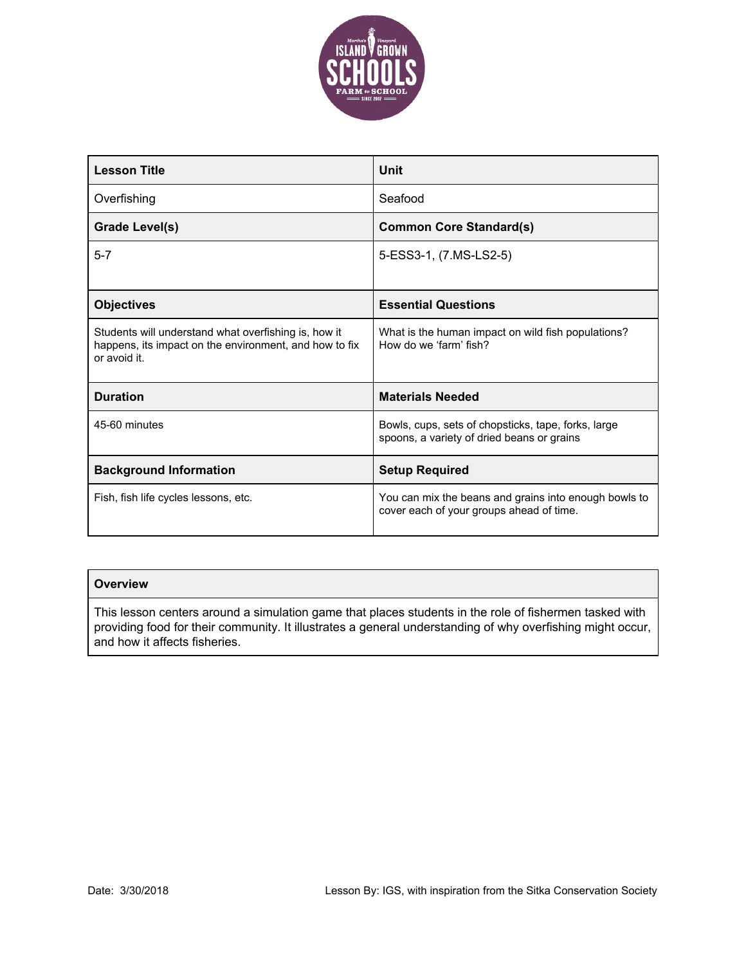

| <b>Lesson Title</b>                                                                                                            | Unit                                                                                              |
|--------------------------------------------------------------------------------------------------------------------------------|---------------------------------------------------------------------------------------------------|
| Overfishing                                                                                                                    | Seafood                                                                                           |
| <b>Grade Level(s)</b>                                                                                                          | <b>Common Core Standard(s)</b>                                                                    |
| $5 - 7$                                                                                                                        | 5-ESS3-1, (7.MS-LS2-5)                                                                            |
|                                                                                                                                |                                                                                                   |
| <b>Objectives</b>                                                                                                              | <b>Essential Questions</b>                                                                        |
| Students will understand what overfishing is, how it<br>happens, its impact on the environment, and how to fix<br>or avoid it. | What is the human impact on wild fish populations?<br>How do we 'farm' fish?                      |
| <b>Duration</b>                                                                                                                | <b>Materials Needed</b>                                                                           |
| 45-60 minutes                                                                                                                  | Bowls, cups, sets of chopsticks, tape, forks, large<br>spoons, a variety of dried beans or grains |
| <b>Background Information</b>                                                                                                  | <b>Setup Required</b>                                                                             |
| Fish, fish life cycles lessons, etc.                                                                                           | You can mix the beans and grains into enough bowls to<br>cover each of your groups ahead of time. |

### **Overview**

This lesson centers around a simulation game that places students in the role of fishermen tasked with providing food for their community. It illustrates a general understanding of why overfishing might occur, and how it affects fisheries.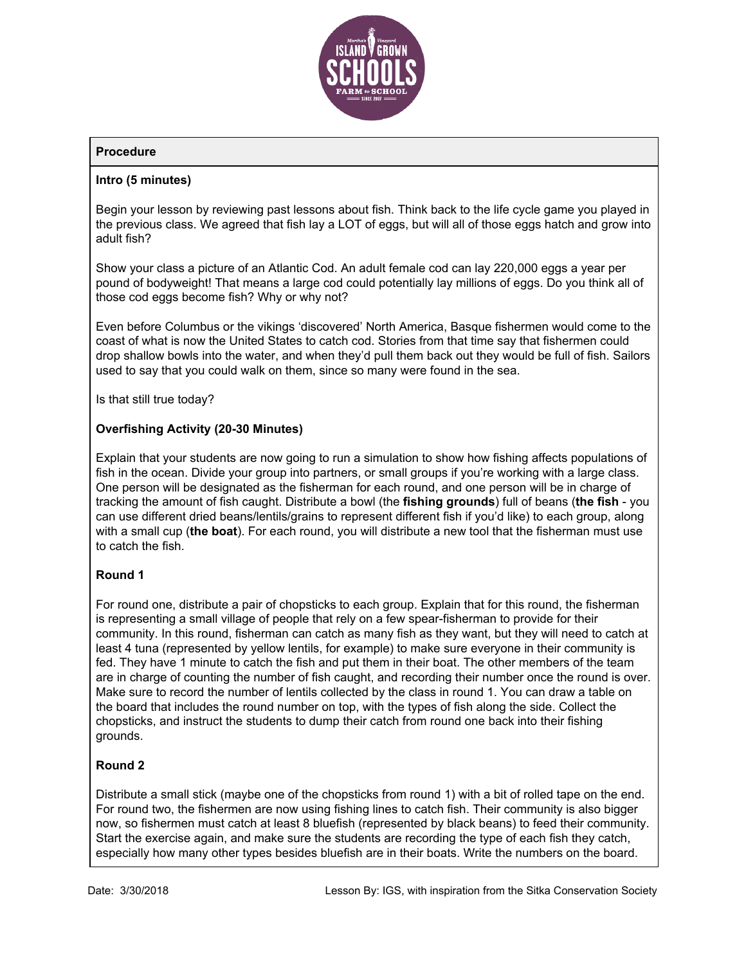

# **Procedure**

### **Intro (5 minutes)**

Begin your lesson by reviewing past lessons about fish. Think back to the life cycle game you played in the previous class. We agreed that fish lay a LOT of eggs, but will all of those eggs hatch and grow into adult fish?

Show your class a picture of an Atlantic Cod. An adult female cod can lay 220,000 eggs a year per pound of bodyweight! That means a large cod could potentially lay millions of eggs. Do you think all of those cod eggs become fish? Why or why not?

Even before Columbus or the vikings 'discovered' North America, Basque fishermen would come to the coast of what is now the United States to catch cod. Stories from that time say that fishermen could drop shallow bowls into the water, and when they'd pull them back out they would be full of fish. Sailors used to say that you could walk on them, since so many were found in the sea.

Is that still true today?

### **Overfishing Activity (20-30 Minutes)**

Explain that your students are now going to run a simulation to show how fishing affects populations of fish in the ocean. Divide your group into partners, or small groups if you're working with a large class. One person will be designated as the fisherman for each round, and one person will be in charge of tracking the amount of fish caught. Distribute a bowl (the **fishing grounds**) full of beans (**the fish** - you can use different dried beans/lentils/grains to represent different fish if you'd like) to each group, along with a small cup (**the boat**). For each round, you will distribute a new tool that the fisherman must use to catch the fish.

### **Round 1**

For round one, distribute a pair of chopsticks to each group. Explain that for this round, the fisherman is representing a small village of people that rely on a few spear-fisherman to provide for their community. In this round, fisherman can catch as many fish as they want, but they will need to catch at least 4 tuna (represented by yellow lentils, for example) to make sure everyone in their community is fed. They have 1 minute to catch the fish and put them in their boat. The other members of the team are in charge of counting the number of fish caught, and recording their number once the round is over. Make sure to record the number of lentils collected by the class in round 1. You can draw a table on the board that includes the round number on top, with the types of fish along the side. Collect the chopsticks, and instruct the students to dump their catch from round one back into their fishing grounds.

### **Round 2**

Distribute a small stick (maybe one of the chopsticks from round 1) with a bit of rolled tape on the end. For round two, the fishermen are now using fishing lines to catch fish. Their community is also bigger now, so fishermen must catch at least 8 bluefish (represented by black beans) to feed their community. Start the exercise again, and make sure the students are recording the type of each fish they catch, especially how many other types besides bluefish are in their boats. Write the numbers on the board.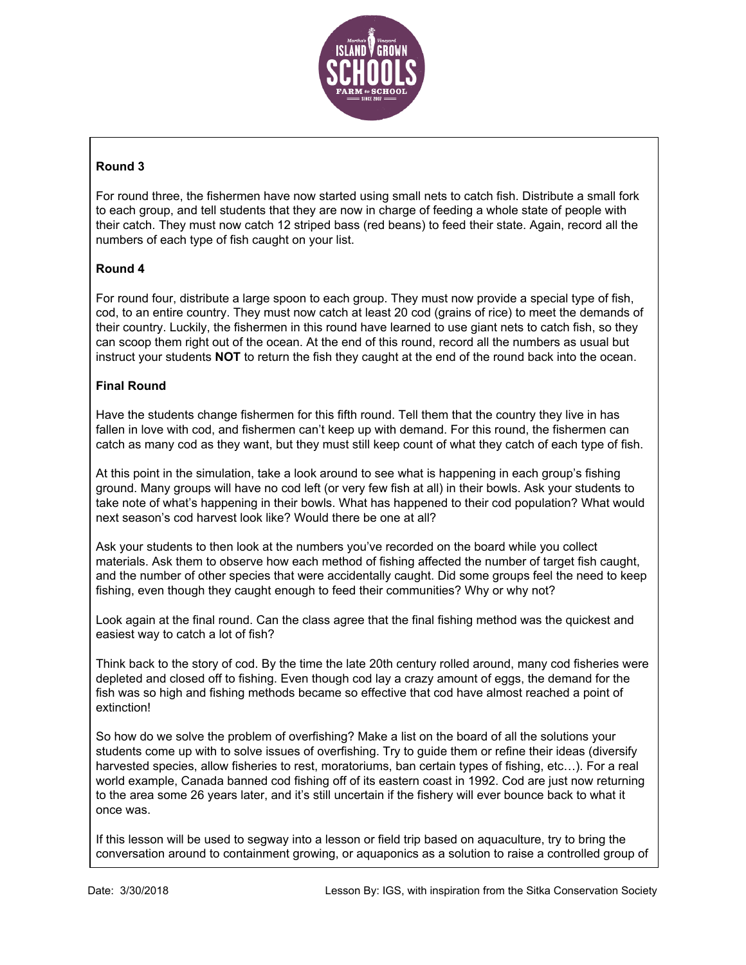

# **Round 3**

For round three, the fishermen have now started using small nets to catch fish. Distribute a small fork to each group, and tell students that they are now in charge of feeding a whole state of people with their catch. They must now catch 12 striped bass (red beans) to feed their state. Again, record all the numbers of each type of fish caught on your list.

### **Round 4**

For round four, distribute a large spoon to each group. They must now provide a special type of fish, cod, to an entire country. They must now catch at least 20 cod (grains of rice) to meet the demands of their country. Luckily, the fishermen in this round have learned to use giant nets to catch fish, so they can scoop them right out of the ocean. At the end of this round, record all the numbers as usual but instruct your students **NOT** to return the fish they caught at the end of the round back into the ocean.

### **Final Round**

Have the students change fishermen for this fifth round. Tell them that the country they live in has fallen in love with cod, and fishermen can't keep up with demand. For this round, the fishermen can catch as many cod as they want, but they must still keep count of what they catch of each type of fish.

At this point in the simulation, take a look around to see what is happening in each group's fishing ground. Many groups will have no cod left (or very few fish at all) in their bowls. Ask your students to take note of what's happening in their bowls. What has happened to their cod population? What would next season's cod harvest look like? Would there be one at all?

Ask your students to then look at the numbers you've recorded on the board while you collect materials. Ask them to observe how each method of fishing affected the number of target fish caught, and the number of other species that were accidentally caught. Did some groups feel the need to keep fishing, even though they caught enough to feed their communities? Why or why not?

Look again at the final round. Can the class agree that the final fishing method was the quickest and easiest way to catch a lot of fish?

Think back to the story of cod. By the time the late 20th century rolled around, many cod fisheries were depleted and closed off to fishing. Even though cod lay a crazy amount of eggs, the demand for the fish was so high and fishing methods became so effective that cod have almost reached a point of extinction!

So how do we solve the problem of overfishing? Make a list on the board of all the solutions your students come up with to solve issues of overfishing. Try to guide them or refine their ideas (diversify harvested species, allow fisheries to rest, moratoriums, ban certain types of fishing, etc...). For a real world example, Canada banned cod fishing off of its eastern coast in 1992. Cod are just now returning to the area some 26 years later, and it's still uncertain if the fishery will ever bounce back to what it once was.

If this lesson will be used to segway into a lesson or field trip based on aquaculture, try to bring the conversation around to containment growing, or aquaponics as a solution to raise a controlled group of